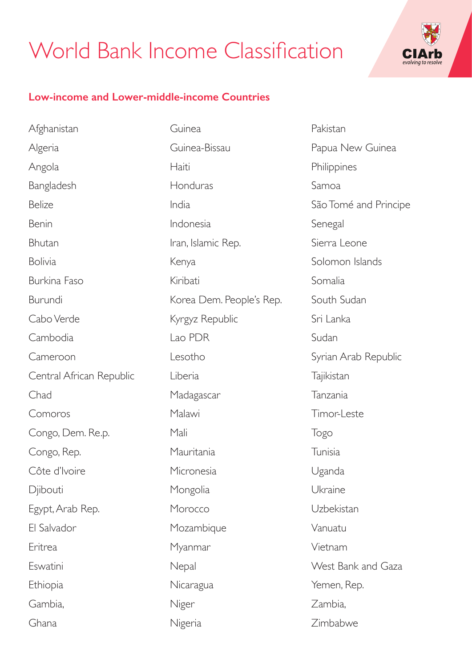## World Bank Income Classification



## **Low-income and Lower-middle-income Countries**

Afghanistan Algeria Angola Bangladesh Belize Benin Bhutan Bolivia Burkina Faso Burundi Cabo Verde Cambodia Cameroon Central African Republic Chad Comoros Congo, Dem. Re.p. Congo, Rep. Côte d'Ivoire **D**iibouti Egypt, Arab Rep. El Salvador Eritrea Eswatini Ethiopia Gambia, Ghana

Guinea Guinea-Bissau Haiti Honduras India Indonesia Iran, Islamic Rep. Kenya Kiribati Korea Dem. People's Rep. Kyrgyz Republic Lao PDR Lesotho Liberia Madagascar Malawi Mali Mauritania **Micronesia** Mongolia Morocco Mozambique Myanmar **Nepal** Nicaragua Niger Nigeria

Pakistan Papua New Guinea **Philippines** Samoa São Tomé and Principe Senegal Sierra Leone Solomon Islands Somalia South Sudan Sri Lanka Sudan Syrian Arab Republic **Tajikistan** Tanzania Timor-Leste Togo Tunisia Uganda Ukraine Uzbekistan Vanuatu Vietnam West Bank and Gaza Yemen, Rep. Zambia, Zimbabwe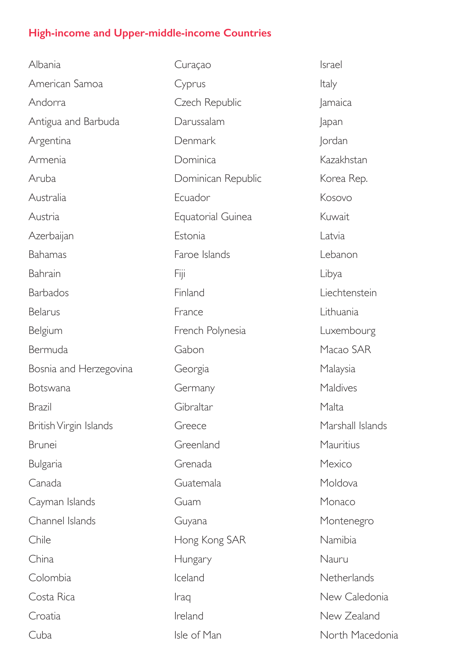## **High-income and Upper-middle-income Countries**

Albania American Samoa Andorra Antigua and Barbuda Argentina Armenia Aruba Australia Austria Azerbaijan Bahamas Bahrain Barbados Belarus Belgium Bermuda Bosnia and Herzegovina Botswana Brazil British Virgin Islands Brunei Bulgaria Canada Cayman Islands Channel Islands Chile China Colombia Costa Rica Croatia Cuba

Curaçao Cyprus Czech Republic Darussalam Denmark Dominica Dominican Republic Ecuador Equatorial Guinea Estonia Faroe Islands Fiji Finland France French Polynesia Gabon Georgia Germany Gibraltar Greece Greenland Grenada Guatemala Guam Guyana Hong Kong SAR Hungary Iceland Iraq Ireland Isle of Man

Israel Italy Jamaica Japan Jordan Kazakhstan Korea Rep. Kosovo Kuwait Latvia Lebanon Libya Liechtenstein Lithuania Luxembourg Macao SAR Malaysia **Maldives** Malta Marshall Islands Mauritius Mexico Moldova Monaco Montenegro Namibia Nauru Netherlands New Caledonia New Zealand North Macedonia